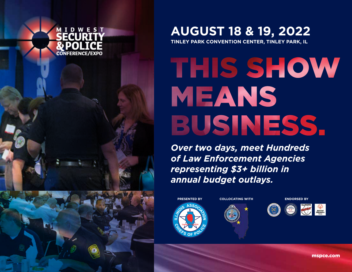

**TINLEY PARK CONVENTION CENTER, TINLEY PARK, IL**

# THIS SHOW MEANS BUSINESS.

*Over two days, meet Hundreds of Law Enforcement Agencies representing \$3+ billion in annual budget outlays.*











mspce.com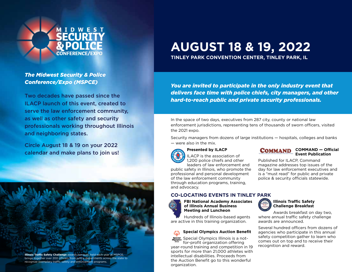

#### *The Midwest Security & Police Conference/Expo (MSPCE)*

Two decades have passed since the ILACP launch of this event, created to serve the law enforcement community, as well as other safety and security professionals working throughout Illinois and neighboring states.

Circle August 18 & 19 on your 2022 calendar and make plans to join us!

**Illinois Traffic Safety Challenge** awards banquet, held each year at MSPCE, brings together over 200 officers from police departments across the state to recognize exemplary traffic safety and enforcement programs.

# **AUGUST 18 & 19, 2022**

**TINLEY PARK CONVENTION CENTER, TINLEY PARK, IL**

*You are invited to participate in the only industry event that delivers face time with police chiefs, city managers, and other hard-to-reach public and private security professionals.* 

In the space of two days, executives from 287 city, county or national law enforcement jurisdictions, representing tens of thousands of sworn officers, visited the 2021 expo.

Security managers from dozens of large institutions — hospitals, colleges and banks — were also in the mix.

#### **Presented by ILACP**



ILACP is the association of 1,200 police chiefs and other leaders of law enforcement and public safety in Illinois, who promote the professional and personal development

of the law enforcement community through education programs, training, and advocacy.

#### **CO-LOCATING EVENTS IN TINLEY PARK**



**FBI National Academy Associates of Illinois Annual Business Meeting and Luncheon**

Hundreds of Illinois-based agents are active in this training organization.

#### **Special Olympics Auction Benefit**

Special Olympics Illinois is a notfor-profit organization offering year-round training and competition in 19 sports for more than 21,000 athletes with intellectual disabilities. Proceeds from the Auction Benefit go to this wonderful organization.



Published for ILACP, Command magazine addresses top issues of the day for law enforcement executives and is a "must read" for public and private police & security officials statewide.

#### **Illinois Traffic Safety Challenge Breakfast**



awards are announced. Several hundred officers from dozens of

agencies who participate in this annual safety competition gather to learn who comes out on top and to receive their recognition and reward.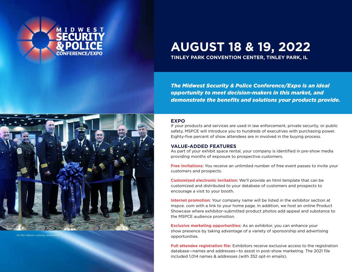

**TINLEY PARK CONVENTION CENTER, TINLEY PARK, IL**

*The Midwest Security & Police Conference/Expo is an ideal opportunity to meet decision-makers in this market, and demonstrate the benefits and solutions your products provide.* 

#### **EXPO**

If your products and services are used in law enforcement, private security, or public safety, MSPCE will introduce you to hundreds of executives with purchasing power. Eighty-five percent of show attendees are in involved in the buying process.

#### **VALUE-ADDED FEATURES**

As part of your exhibit space rental, your company is identified in pre-show media providing months of exposure to prospective customers.

**Free invitations:** You receive an unlimited number of free event passes to invite your customers and prospects.

**Customized electronic invitation:** We'll provide an html template that can be customized and distributed to your database of customers and prospects to encourage a visit to your booth.

**Internet promotion:** Your company name will be listed in the exhibitor section at mspce. com with a link to your home page. In addition, we host an online Product Showcase where exhibitor-submitted product photos add appeal and substance to the MSPCE audience promotion.

**Exclusive marketing opportunities:** As an exhibitor, you can enhance your show presence by taking advantage of a variety of sponsorship and advertising opportunities.

**Full attendee registration file:** Exhibitors receive exclusive access to the registration database—names and addresses—to assist in post-show marketing. The 2021 file included 1,014 names & addresses (with 352 opt-in emails).



At the ribbon-cutting ceremo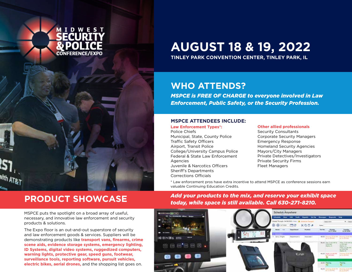

**TINLEY PARK CONVENTION CENTER, TINLEY PARK, IL**

### **WHO ATTENDS?**

*MSPCE is FREE OF CHARGE to everyone involved in Law Enforcement, Public Safety, or the Security Profession.*

#### **MSPCE ATTENDEES INCLUDE:**

#### **Law Enforcement Types\*:**

Police Chiefs Municipal, State, County Police Traffic Safety Officers Airport, Transit Police College/University Campus Police Federal & State Law Enforcement Agencies Juvenile & Narcotics Officers Sheriff's Departments Corrections Officials

#### **Other allied professionals**

Security Consultants Corporate Security Managers Emergency Response Homeland Security Agencies Mayors/City Managers Private Detectives/Investigators Private Security Firms Fleet Managers

\* Law enforcement pros have extra incentive to attend MSPCE as conference sessions earn valuable Continuing Education Credits.

MSPCE puts the spotlight on a broad array of useful, necessary, and innovative law enforcement and security products & solutions.

The Expo floor is an out-and-out superstore of security and law enforcement goods & services. Suppliers will be demonstrating products like **transport vans, firearms, crime scene aids, evidence storage systems, emergency lighting, ID Systems, digital video systems, ruggedized computers, warning lights, protective gear, speed guns, footwear, surveillance tools, reporting software, pursuit vehicles, electric bikes, aerial drones,** and the shopping list goes on.

**PRODUCT SHOWCASE** *Add your products to the mix, and reserve your exhibit space today, while space is still available. Call 630-271-8210.*

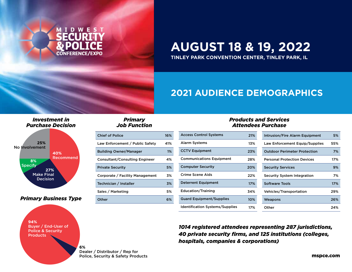

**TINLEY PARK CONVENTION CENTER, TINLEY PARK, IL**

### **2021 AUDIENCE DEMOGRAPHICS**

#### *Investment in Purchase Decision*



#### *Primary Business Type*



#### *Primary Job Function*

| <b>Chief of Police</b>                | 16% |
|---------------------------------------|-----|
| Law Enforcement / Public Safety       | 41% |
| <b>Building Owner/Manager</b>         | 1%  |
| <b>Consultant/Consulting Engineer</b> | 4%  |
| <b>Private Security</b>               | 5%  |
| Corporate / Facility Management       | 3%  |
| Technician / Installer                | 3%  |
| Sales / Marketing                     | 5%  |
| Other                                 | 6%  |

#### *Products and Services Attendees Purchase*

| <b>Access Control Systems</b>          | 21% | <b>Intrusion/Fire Alarm Equipment</b> | 5%  |
|----------------------------------------|-----|---------------------------------------|-----|
| <b>Alarm Systems</b>                   | 13% | Law Enforcement Equip/Supplies        | 55% |
| <b>CCTV Equipment</b>                  | 23% | <b>Outdoor Perimeter Protection</b>   | 7%  |
| <b>Communications Equipment</b>        | 28% | <b>Personal Protection Devices</b>    | 17% |
| <b>Computer Security</b>               | 20% | <b>Security Services</b>              | 9%  |
| Crime Scene Aids                       | 22% | Security System Integration           | 7%  |
| <b>Deterrent Equipment</b>             | 17% | <b>Software Tools</b>                 | 17% |
| <b>Education/Training</b>              | 34% | Vehicles/Transportation               | 29% |
| <b>Guard Equipment/Supplies</b>        | 10% | Weapons                               | 26% |
| <b>Identification Systems/Supplies</b> | 17% | Other                                 | 24% |

*1014 registered attendees representing 287 jurisdictions, 40 private security firms, and 125 institutions (colleges, hospitals, companies & corporations)*

Dealer / Distributor / Rep for Police, Security & Safety Products